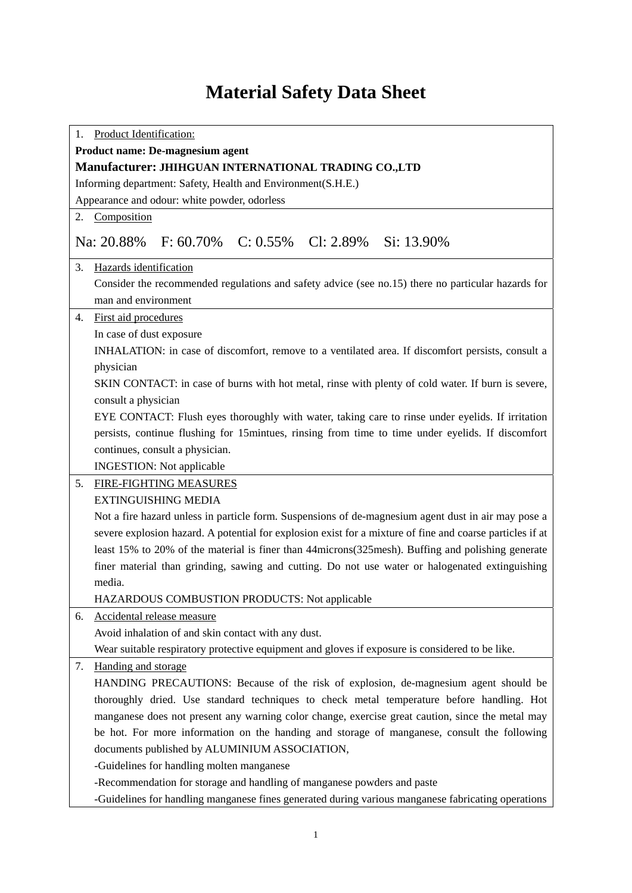## **Material Safety Data Sheet**

| Product Identification:<br>1.                                                                             |
|-----------------------------------------------------------------------------------------------------------|
| Product name: De-magnesium agent                                                                          |
| Manufacturer: JHIHGUAN INTERNATIONAL TRADING CO.,LTD                                                      |
| Informing department: Safety, Health and Environment(S.H.E.)                                              |
| Appearance and odour: white powder, odorless                                                              |
| 2. Composition                                                                                            |
|                                                                                                           |
| F: $60.70\%$ C: $0.55\%$ Cl: $2.89\%$ Si: 13.90%<br>Na: 20.88%                                            |
| 3.<br>Hazards identification                                                                              |
| Consider the recommended regulations and safety advice (see no.15) there no particular hazards for        |
| man and environment                                                                                       |
| First aid procedures<br>4.                                                                                |
| In case of dust exposure                                                                                  |
| INHALATION: in case of discomfort, remove to a ventilated area. If discomfort persists, consult a         |
| physician                                                                                                 |
| SKIN CONTACT: in case of burns with hot metal, rinse with plenty of cold water. If burn is severe,        |
| consult a physician                                                                                       |
| EYE CONTACT: Flush eyes thoroughly with water, taking care to rinse under eyelids. If irritation          |
| persists, continue flushing for 15mintues, rinsing from time to time under eyelids. If discomfort         |
| continues, consult a physician.                                                                           |
| <b>INGESTION:</b> Not applicable                                                                          |
| 5.<br>FIRE-FIGHTING MEASURES                                                                              |
| <b>EXTINGUISHING MEDIA</b>                                                                                |
| Not a fire hazard unless in particle form. Suspensions of de-magnesium agent dust in air may pose a       |
| severe explosion hazard. A potential for explosion exist for a mixture of fine and coarse particles if at |
| least 15% to 20% of the material is finer than 44 microns (325 mesh). Buffing and polishing generate      |
| finer material than grinding, sawing and cutting. Do not use water or halogenated extinguishing           |
| media.                                                                                                    |
| <b>HAZARDOUS COMBUSTION PRODUCTS: Not applicable</b>                                                      |
| Accidental release measure<br>6.                                                                          |
| Avoid inhalation of and skin contact with any dust.                                                       |
| Wear suitable respiratory protective equipment and gloves if exposure is considered to be like.           |
| Handing and storage<br>7.                                                                                 |
| HANDING PRECAUTIONS: Because of the risk of explosion, de-magnesium agent should be                       |
| thoroughly dried. Use standard techniques to check metal temperature before handling. Hot                 |
| manganese does not present any warning color change, exercise great caution, since the metal may          |
| be hot. For more information on the handing and storage of manganese, consult the following               |
| documents published by ALUMINIUM ASSOCIATION,                                                             |
| -Guidelines for handling molten manganese                                                                 |
| -Recommendation for storage and handling of manganese powders and paste                                   |
| -Guidelines for handling manganese fines generated during various manganese fabricating operations        |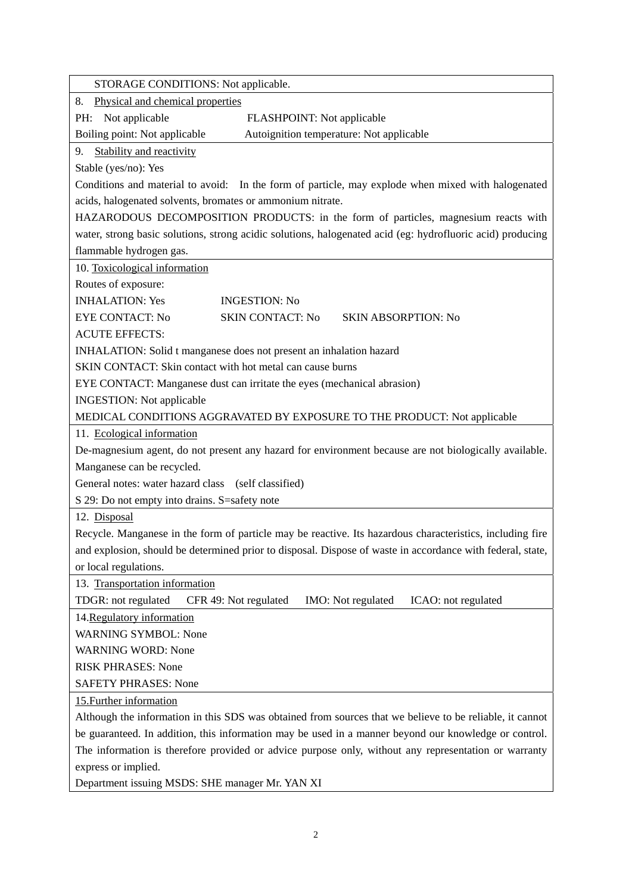| STORAGE CONDITIONS: Not applicable.                                                                        |
|------------------------------------------------------------------------------------------------------------|
| Physical and chemical properties<br>8.                                                                     |
| PH: Not applicable<br>FLASHPOINT: Not applicable                                                           |
| Boiling point: Not applicable<br>Autoignition temperature: Not applicable                                  |
| Stability and reactivity<br>9.                                                                             |
| Stable (yes/no): Yes                                                                                       |
| Conditions and material to avoid: In the form of particle, may explode when mixed with halogenated         |
| acids, halogenated solvents, bromates or ammonium nitrate.                                                 |
| HAZARODOUS DECOMPOSITION PRODUCTS: in the form of particles, magnesium reacts with                         |
| water, strong basic solutions, strong acidic solutions, halogenated acid (eg: hydrofluoric acid) producing |
| flammable hydrogen gas.                                                                                    |
| 10. Toxicological information                                                                              |
| Routes of exposure:                                                                                        |
| <b>INHALATION: Yes</b><br><b>INGESTION: No</b>                                                             |
| <b>EYE CONTACT: No</b><br><b>SKIN CONTACT: No</b><br><b>SKIN ABSORPTION: No</b>                            |
| <b>ACUTE EFFECTS:</b>                                                                                      |
| INHALATION: Solid t manganese does not present an inhalation hazard                                        |
| SKIN CONTACT: Skin contact with hot metal can cause burns                                                  |
| EYE CONTACT: Manganese dust can irritate the eyes (mechanical abrasion)                                    |
| <b>INGESTION:</b> Not applicable                                                                           |
| MEDICAL CONDITIONS AGGRAVATED BY EXPOSURE TO THE PRODUCT: Not applicable                                   |
| 11. Ecological information                                                                                 |
| De-magnesium agent, do not present any hazard for environment because are not biologically available.      |
| Manganese can be recycled.                                                                                 |
| General notes: water hazard class (self classified)                                                        |
| S 29: Do not empty into drains. S=safety note                                                              |
| 12. Disposal                                                                                               |
| Recycle. Manganese in the form of particle may be reactive. Its hazardous characteristics, including fire  |
| and explosion, should be determined prior to disposal. Dispose of waste in accordance with federal, state, |
| or local regulations.                                                                                      |
| 13. Transportation information                                                                             |
| TDGR: not regulated<br>CFR 49: Not regulated<br>IMO: Not regulated<br>ICAO: not regulated                  |
| 14. Regulatory information                                                                                 |
| <b>WARNING SYMBOL: None</b>                                                                                |
| <b>WARNING WORD: None</b>                                                                                  |
| <b>RISK PHRASES: None</b>                                                                                  |
| <b>SAFETY PHRASES: None</b>                                                                                |
| 15. Further information                                                                                    |
| Although the information in this SDS was obtained from sources that we believe to be reliable, it cannot   |
| be guaranteed. In addition, this information may be used in a manner beyond our knowledge or control.      |
| The information is therefore provided or advice purpose only, without any representation or warranty       |
| express or implied.                                                                                        |
| Department issuing MSDS: SHE manager Mr. YAN XI                                                            |

2